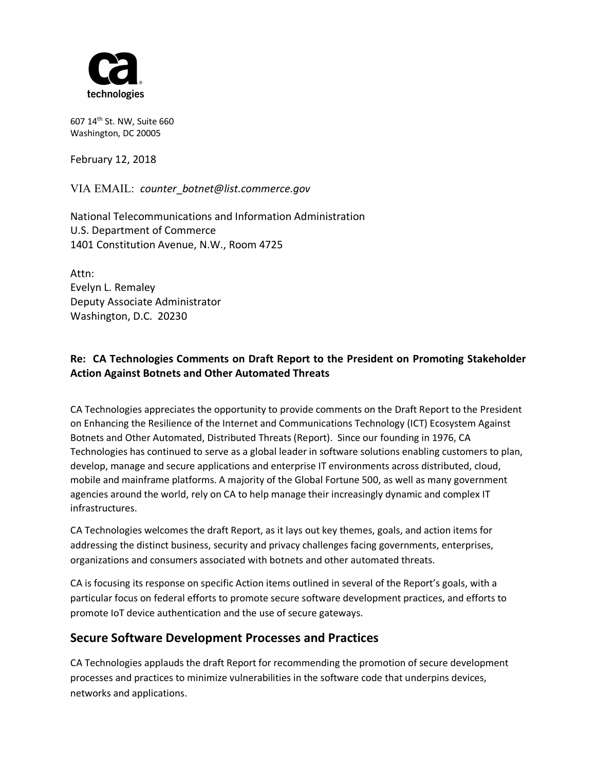

607 14th St. NW, Suite 660 Washington, DC 20005

February 12, 2018

VIA EMAIL: *counter*\_*botnet@list.commerce.gov*

National Telecommunications and Information Administration U.S. Department of Commerce 1401 Constitution Avenue, N.W., Room 4725

Attn: Evelyn L. Remaley Deputy Associate Administrator Washington, D.C. 20230

## **Re: CA Technologies Comments on Draft Report to the President on Promoting Stakeholder Action Against Botnets and Other Automated Threats**

CA Technologies appreciates the opportunity to provide comments on the Draft Report to the President on Enhancing the Resilience of the Internet and Communications Technology (ICT) Ecosystem Against Botnets and Other Automated, Distributed Threats (Report). Since our founding in 1976, CA Technologies has continued to serve as a global leader in software solutions enabling customers to plan, develop, manage and secure applications and enterprise IT environments across distributed, cloud, mobile and mainframe platforms. A majority of the Global Fortune 500, as well as many government agencies around the world, rely on CA to help manage their increasingly dynamic and complex IT infrastructures.

CA Technologies welcomes the draft Report, as it lays out key themes, goals, and action items for addressing the distinct business, security and privacy challenges facing governments, enterprises, organizations and consumers associated with botnets and other automated threats.

CA is focusing its response on specific Action items outlined in several of the Report's goals, with a particular focus on federal efforts to promote secure software development practices, and efforts to promote IoT device authentication and the use of secure gateways.

# **Secure Software Development Processes and Practices**

CA Technologies applauds the draft Report for recommending the promotion of secure development processes and practices to minimize vulnerabilities in the software code that underpins devices, networks and applications.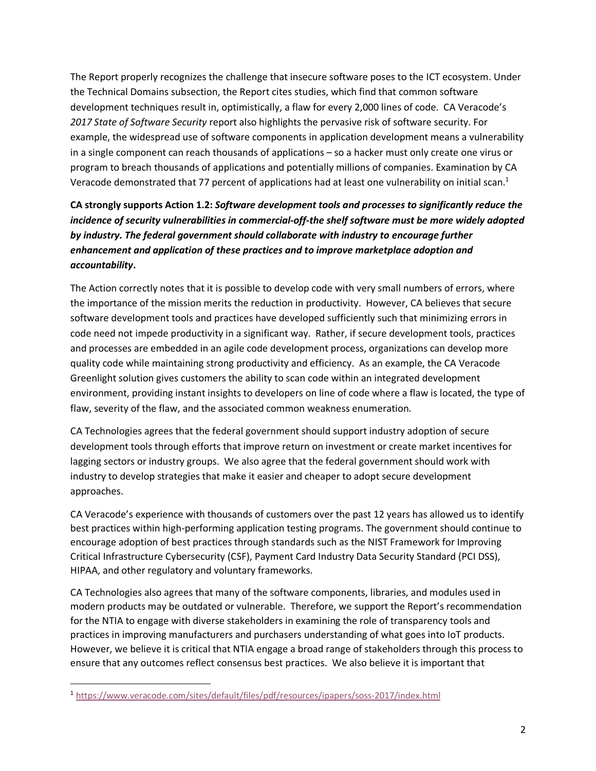The Report properly recognizes the challenge that insecure software poses to the ICT ecosystem. Under the Technical Domains subsection, the Report cites studies, which find that common software development techniques result in, optimistically, a flaw for every 2,000 lines of code. CA Veracode's *2017 State of Software Security* report also highlights the pervasive risk of software security. For example, the widespread use of software components in application development means a vulnerability in a single component can reach thousands of applications – so a hacker must only create one virus or program to breach thousands of applications and potentially millions of companies. Examination by CA Veracode demonstrated that 77 percent of applications had at least one vulnerability on initial scan.<sup>1</sup>

# **CA strongly supports Action 1.2:** *Software development tools and processes to significantly reduce the incidence of security vulnerabilities in commercial-off-the shelf software must be more widely adopted by industry. The federal government should collaborate with industry to encourage further enhancement and application of these practices and to improve marketplace adoption and accountability***.**

The Action correctly notes that it is possible to develop code with very small numbers of errors, where the importance of the mission merits the reduction in productivity. However, CA believes that secure software development tools and practices have developed sufficiently such that minimizing errors in code need not impede productivity in a significant way. Rather, if secure development tools, practices and processes are embedded in an agile code development process, organizations can develop more quality code while maintaining strong productivity and efficiency. As an example, the CA Veracode Greenlight solution gives customers the ability to scan code within an integrated development environment, providing instant insights to developers on line of code where a flaw is located, the type of flaw, severity of the flaw, and the associated common weakness enumeration.

CA Technologies agrees that the federal government should support industry adoption of secure development tools through efforts that improve return on investment or create market incentives for lagging sectors or industry groups. We also agree that the federal government should work with industry to develop strategies that make it easier and cheaper to adopt secure development approaches.

CA Veracode's experience with thousands of customers over the past 12 years has allowed us to identify best practices within high-performing application testing programs. The government should continue to encourage adoption of best practices through standards such as the NIST Framework for Improving Critical Infrastructure Cybersecurity (CSF), Payment Card Industry Data Security Standard (PCI DSS), HIPAA, and other regulatory and voluntary frameworks.

CA Technologies also agrees that many of the software components, libraries, and modules used in modern products may be outdated or vulnerable. Therefore, we support the Report's recommendation for the NTIA to engage with diverse stakeholders in examining the role of transparency tools and practices in improving manufacturers and purchasers understanding of what goes into IoT products. However, we believe it is critical that NTIA engage a broad range of stakeholders through this process to ensure that any outcomes reflect consensus best practices. We also believe it is important that

 <sup>1</sup> https://www.veracode.com/sites/default/files/pdf/resources/ipapers/soss-2017/index.html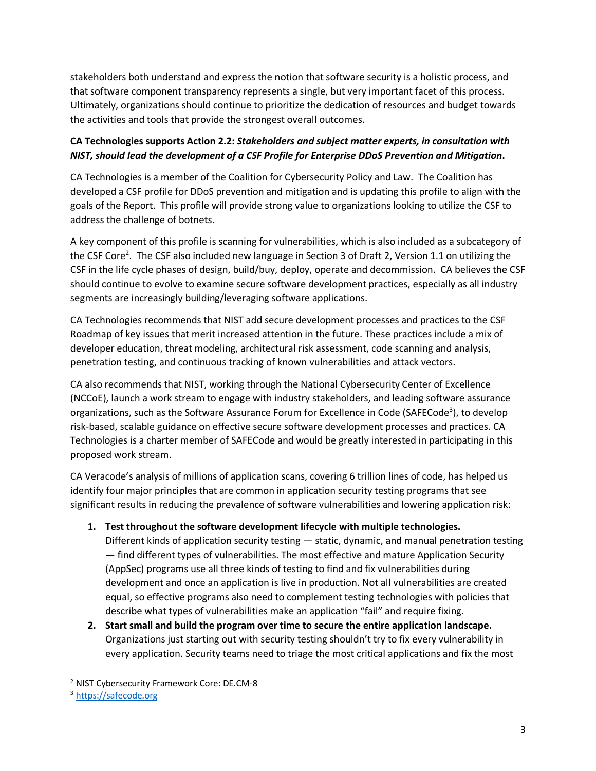stakeholders both understand and express the notion that software security is a holistic process, and that software component transparency represents a single, but very important facet of this process. Ultimately, organizations should continue to prioritize the dedication of resources and budget towards the activities and tools that provide the strongest overall outcomes.

## **CA Technologies supports Action 2.2:** *Stakeholders and subject matter experts, in consultation with NIST, should lead the development of a CSF Profile for Enterprise DDoS Prevention and Mitigation***.**

CA Technologies is a member of the Coalition for Cybersecurity Policy and Law. The Coalition has developed a CSF profile for DDoS prevention and mitigation and is updating this profile to align with the goals of the Report. This profile will provide strong value to organizations looking to utilize the CSF to address the challenge of botnets.

A key component of this profile is scanning for vulnerabilities, which is also included as a subcategory of the CSF Core<sup>2</sup>. The CSF also included new language in Section 3 of Draft 2, Version 1.1 on utilizing the CSF in the life cycle phases of design, build/buy, deploy, operate and decommission. CA believes the CSF should continue to evolve to examine secure software development practices, especially as all industry segments are increasingly building/leveraging software applications.

CA Technologies recommends that NIST add secure development processes and practices to the CSF Roadmap of key issues that merit increased attention in the future. These practices include a mix of developer education, threat modeling, architectural risk assessment, code scanning and analysis, penetration testing, and continuous tracking of known vulnerabilities and attack vectors.

CA also recommends that NIST, working through the National Cybersecurity Center of Excellence (NCCoE), launch a work stream to engage with industry stakeholders, and leading software assurance organizations, such as the Software Assurance Forum for Excellence in Code (SAFECode<sup>3</sup>), to develop risk-based, scalable guidance on effective secure software development processes and practices. CA Technologies is a charter member of SAFECode and would be greatly interested in participating in this proposed work stream.

CA Veracode's analysis of millions of application scans, covering 6 trillion lines of code, has helped us identify four major principles that are common in application security testing programs that see significant results in reducing the prevalence of software vulnerabilities and lowering application risk:

- **1. Test throughout the software development lifecycle with multiple technologies.**  Different kinds of application security testing — static, dynamic, and manual penetration testing — find different types of vulnerabilities. The most effective and mature Application Security (AppSec) programs use all three kinds of testing to find and fix vulnerabilities during development and once an application is live in production. Not all vulnerabilities are created equal, so effective programs also need to complement testing technologies with policies that describe what types of vulnerabilities make an application "fail" and require fixing.
- **2. Start small and build the program over time to secure the entire application landscape.**  Organizations just starting out with security testing shouldn't try to fix every vulnerability in every application. Security teams need to triage the most critical applications and fix the most

 <sup>2</sup> NIST Cybersecurity Framework Core: DE.CM-8

<sup>3</sup> https://safecode.org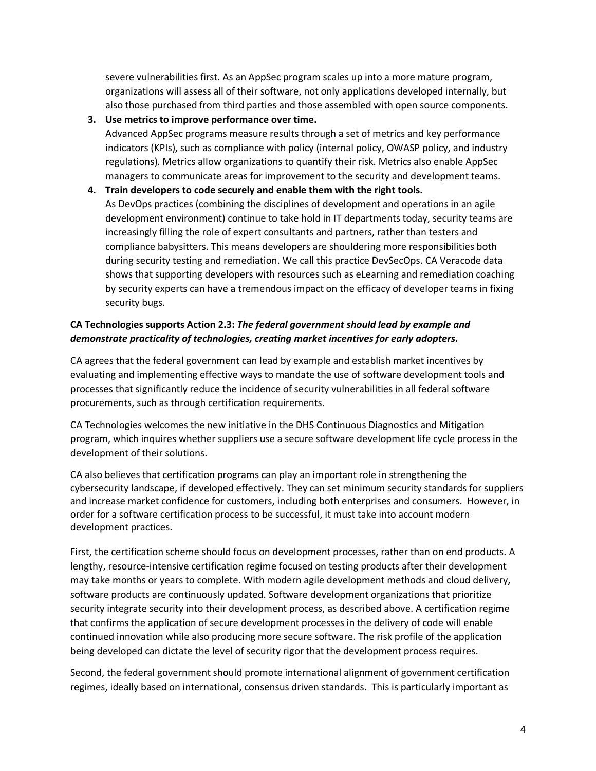severe vulnerabilities first. As an AppSec program scales up into a more mature program, organizations will assess all of their software, not only applications developed internally, but also those purchased from third parties and those assembled with open source components.

**3. Use metrics to improve performance over time.** 

Advanced AppSec programs measure results through a set of metrics and key performance indicators (KPIs), such as compliance with policy (internal policy, OWASP policy, and industry regulations). Metrics allow organizations to quantify their risk. Metrics also enable AppSec managers to communicate areas for improvement to the security and development teams.

**4. Train developers to code securely and enable them with the right tools.** 

As DevOps practices (combining the disciplines of development and operations in an agile development environment) continue to take hold in IT departments today, security teams are increasingly filling the role of expert consultants and partners, rather than testers and compliance babysitters. This means developers are shouldering more responsibilities both during security testing and remediation. We call this practice DevSecOps. CA Veracode data shows that supporting developers with resources such as eLearning and remediation coaching by security experts can have a tremendous impact on the efficacy of developer teams in fixing security bugs.

#### **CA Technologies supports Action 2.3:** *The federal government should lead by example and demonstrate practicality of technologies, creating market incentives for early adopters***.**

CA agrees that the federal government can lead by example and establish market incentives by evaluating and implementing effective ways to mandate the use of software development tools and processes that significantly reduce the incidence of security vulnerabilities in all federal software procurements, such as through certification requirements.

CA Technologies welcomes the new initiative in the DHS Continuous Diagnostics and Mitigation program, which inquires whether suppliers use a secure software development life cycle process in the development of their solutions.

CA also believes that certification programs can play an important role in strengthening the cybersecurity landscape, if developed effectively. They can set minimum security standards for suppliers and increase market confidence for customers, including both enterprises and consumers. However, in order for a software certification process to be successful, it must take into account modern development practices.

First, the certification scheme should focus on development processes, rather than on end products. A lengthy, resource-intensive certification regime focused on testing products after their development may take months or years to complete. With modern agile development methods and cloud delivery, software products are continuously updated. Software development organizations that prioritize security integrate security into their development process, as described above. A certification regime that confirms the application of secure development processes in the delivery of code will enable continued innovation while also producing more secure software. The risk profile of the application being developed can dictate the level of security rigor that the development process requires.

Second, the federal government should promote international alignment of government certification regimes, ideally based on international, consensus driven standards. This is particularly important as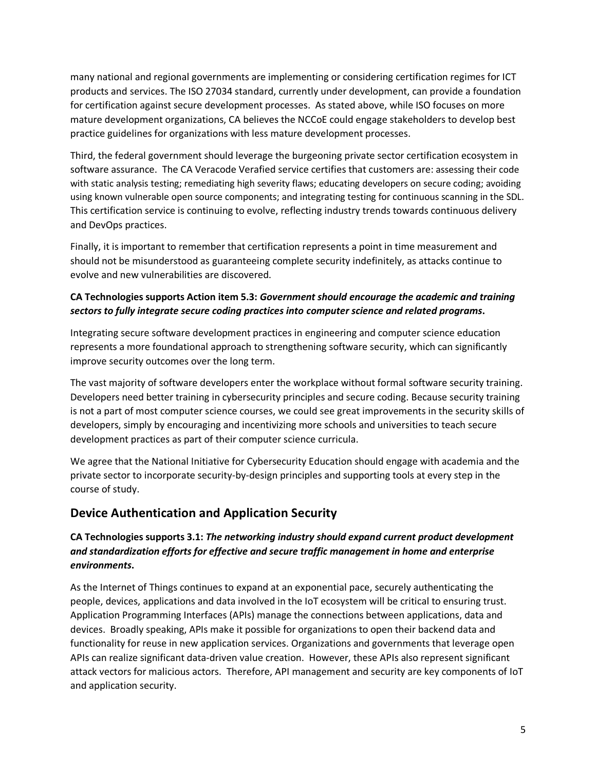many national and regional governments are implementing or considering certification regimes for ICT products and services. The ISO 27034 standard, currently under development, can provide a foundation for certification against secure development processes. As stated above, while ISO focuses on more mature development organizations, CA believes the NCCoE could engage stakeholders to develop best practice guidelines for organizations with less mature development processes.

Third, the federal government should leverage the burgeoning private sector certification ecosystem in software assurance. The CA Veracode Verafied service certifies that customers are: assessing their code with static analysis testing; remediating high severity flaws; educating developers on secure coding; avoiding using known vulnerable open source components; and integrating testing for continuous scanning in the SDL. This certification service is continuing to evolve, reflecting industry trends towards continuous delivery and DevOps practices.

Finally, it is important to remember that certification represents a point in time measurement and should not be misunderstood as guaranteeing complete security indefinitely, as attacks continue to evolve and new vulnerabilities are discovered.

#### **CA Technologies supports Action item 5.3:** *Government should encourage the academic and training sectors to fully integrate secure coding practices into computer science and related programs***.**

Integrating secure software development practices in engineering and computer science education represents a more foundational approach to strengthening software security, which can significantly improve security outcomes over the long term.

The vast majority of software developers enter the workplace without formal software security training. Developers need better training in cybersecurity principles and secure coding. Because security training is not a part of most computer science courses, we could see great improvements in the security skills of developers, simply by encouraging and incentivizing more schools and universities to teach secure development practices as part of their computer science curricula.

We agree that the National Initiative for Cybersecurity Education should engage with academia and the private sector to incorporate security-by-design principles and supporting tools at every step in the course of study.

# **Device Authentication and Application Security**

## **CA Technologies supports 3.1:** *The networking industry should expand current product development and standardization efforts for effective and secure traffic management in home and enterprise environments***.**

As the Internet of Things continues to expand at an exponential pace, securely authenticating the people, devices, applications and data involved in the IoT ecosystem will be critical to ensuring trust. Application Programming Interfaces (APIs) manage the connections between applications, data and devices. Broadly speaking, APIs make it possible for organizations to open their backend data and functionality for reuse in new application services. Organizations and governments that leverage open APIs can realize significant data-driven value creation. However, these APIs also represent significant attack vectors for malicious actors. Therefore, API management and security are key components of IoT and application security.